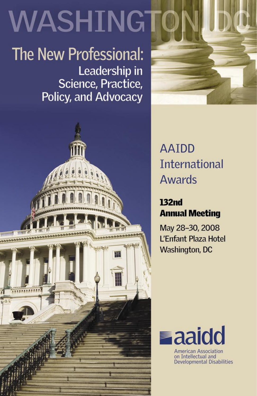# WASHINGT

### **The New Professional:** Leadership in Science, Practice, Policy, and Advocacy



### **AAIDD International Awards**

#### **132nd Annual Meeting**

May 28-30, 2008 L'Enfant Plaza Hotel Washington, DC

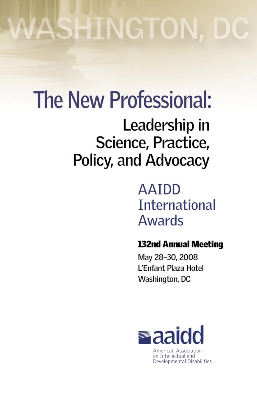# **/ASHINGTON, DC**

# **The New Professional:**

## Leadership in Science, Practice, Policy, and Advocacy

## **AAIDD International Awards**

#### **132nd Annual Meeting**

May 28-30, 2008 L'Enfant Plaza Hotel Washington, DC



on Intellectual and Developmental Disabilities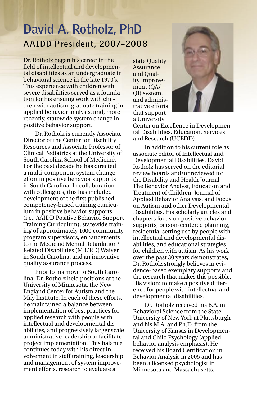#### **David A. Rotholz, PhD AAIDD President, 2007–2008**

Dr. Rotholz began his career in the field of intellectual and developmental disabilities as an undergraduate in behavioral science in the late 1970's. This experience with children with severe disabilities served as a foundation for his ensuing work with children with autism, graduate training in applied behavior analysis, and, more recently, statewide system change in positive behavior support.

Dr. Rotholz is currently Associate Director of the Center for Disability Resources and Associate Professor of Clinical Pediatrics at the University of South Carolina School of Medicine. For the past decade he has directed a multi-component system change effort in positive behavior supports in South Carolina. In collaboration with colleagues, this has included development of the first published competency-based training curriculum in positive behavior supports (i.e., AAIDD Positive Behavior Support Training Curriculum), statewide training of approximately 1000 community program supervisors, enhancements to the Medicaid Mental Retardation/ Related Disabilities (MR/RD) Waiver in South Carolina, and an innovative quality assurance process.

Prior to his move to South Carolina, Dr. Rotholz held positions at the University of Minnesota, the New England Center for Autism and the May Institute. In each of these efforts, he maintained a balance between implementation of best practices for applied research with people with intellectual and developmental disabilities, and progressively larger scale administrative leadership to facilitate project implementation. This balance continues today with his direct involvement in staff training, leadership and management of system improvement efforts, research to evaluate a

state Quality Assurance and Quality Improvement (QA/ QI) system, and administrative efforts that support a University



Center on Excellence in Developmental Disabilities, Education, Services and Research (UCEDD).

In addition to his current role as associate editor of Intellectual and Developmental Disabilities, David Rotholz has served on the editorial review boards and/or reviewed for the Disability and Health Journal, The Behavior Analyst, Education and Treatment of Children, Journal of Applied Behavior Analysis, and Focus on Autism and other Developmental Disabilities. His scholarly articles and chapters focus on positive behavior supports, person-centered planning, residential setting use by people with intellectual and developmental disabilities, and educational strategies for children with autism. As his work over the past 30 years demonstrates, Dr. Rotholz strongly believes in evidence-based exemplary supports and the research that makes this possible. His vision: to make a positive difference for people with intellectual and developmental disabilities.

Dr. Rotholz received his B.A. in Behavioral Science from the State University of New York at Plattsburgh and his M.A. and Ph.D. from the University of Kansas in Developmental and Child Psychology (applied behavior analysis emphasis). He received his Board Certification in Behavior Analysis in 2005 and has been a licensed psychologist in Minnesota and Massachusetts.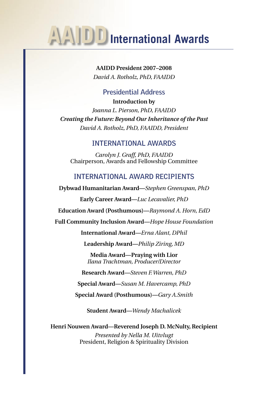# **International Awards AAIDD**

**AAIDD President 2007–2008** *David A. Rotholz, PhD, FAAIDD*

#### **Presidential Address**

**Introduction by** 

*Joanna L. Pierson, PhD, FAAIDD Creating the Future: Beyond Our Inheritance of the Past David A. Rotholz, PhD, FAAIDD, President*

#### **INTERNATIONAL AWARDS**

*Carolyn J. Graff, PhD, FAAIDD* Chairperson, Awards and Fellowship Committee

#### **INTERNATIONAL AWARD RECIPIENTS**

**Dybwad Humanitarian Award—***Stephen Greenspan, PhD*

**Early Career Award—***Luc Lecavalier, PhD*

**Education Award (Posthumous)—***Raymond A. Horn, EdD*

**Full Community Inclusion Award—***Hope House Foundation*

**International Award—***Erna Alant, DPhil*

**Leadership Award—***Philip Ziring, MD*

**Media Award—Praying with Lior** *Ilana Trachtman, Producer/Director*

**Research Award—***Steven F. Warren, PhD*

**Special Award—***Susan M. Havercamp, PhD*

**Special Award (Posthumous)—***Gary A.Smith* 

**Student Award—***Wendy Machalicek*

**Henri Nouwen Award—Reverend Joseph D. McNulty, Recipient**

*Presented by Nella M. Uitvlugt* President, Religion & Spirituality Division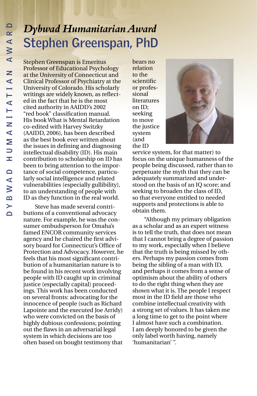#### *Dybwad Humanitarian Award* **Stephen Greenspan, PhD**

Stephen Greenspan is Emeritus Professor of Educational Psychology at the University of Connecticut and Clinical Professor of Psychiatry at the University of Colorado. His scholarly writings are widely known, as reflected in the fact that he is the most cited authority in AAIDD's 2002 "red book" classification manual. His book What is Mental Retardation co-edited with Harvey Switzky (AAIDD, 2006), has been described as the best book ever written about the issues in defining and diagnosing intellectual disability (ID). His main contribution to scholarship on ID has been to bring attention to the importance of social competence, particularly social intelligence and related vulnerabilities (especially gullibility), to an understanding of people with ID as they function in the real world.

Steve has made several contributions of a conventional advocacy nature. For example, he was the consumer ombudsperson for Omaha's famed ENCOR community services agency and he chaired the first advisory board for Connecticut's Office of Protection and Advocacy. However, he feels that his most significant contribution of a humanitarian nature is to be found in his recent work involving people with ID caught up in criminal justice (especially capital) proceedings. This work has been conducted on several fronts: advocating for the innocence of people (such as Richard Lapointe and the executed Joe Arridy) who were convicted on the basis of highly dubious confessions; pointing out the flaws in an adversarial legal system in which decisions are too often based on bought testimony that

bears no relation to the scientific or professional literatures on ID; seeking to move the justice system (and the ID



service system, for that matter) to focus on the unique humanness of the people being discussed, rather than to perpetuate the myth that they can be adequately summarized and understood on the basis of an IQ score; and seeking to broaden the class of ID, so that everyone entitled to needed supports and protections is able to obtain them.

"Although my primary obligation as a scholar and as an expert witness is to tell the truth, that does not mean that I cannot bring a degree of passion to my work, especially when I believe that the truth is being missed by others. Perhaps my passion comes from being the sibling of a man with ID, and perhaps it comes from a sense of optimism about the ability of others to do the right thing when they are shown what it is. The people I respect most in the ID field are those who combine intellectual creativity with a strong set of values. It has taken me a long time to get to the point where I almost have such a combination. I am deeply honored to be given the only label worth having, namely 'humanitarian' ".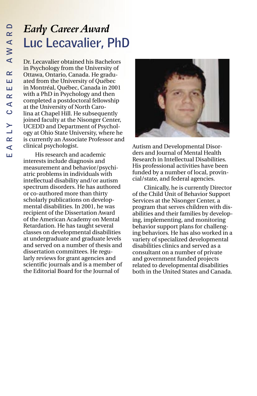#### *Early Career Award* **Luc Lecavalier, PhD**

Dr. Lecavalier obtained his Bachelors in Psychology from the University of Ottawa, Ontario, Canada. He graduated from the University of Québec in Montréal, Québec, Canada in 2001 with a PhD in Psychology and then completed a postdoctoral fellowship at the University of North Carolina at Chapel Hill. He subsequently joined faculty at the Nisonger Center, UCEDD and Department of Psychology at Ohio State University, where he is currently an Associate Professor and clinical psychologist.

His research and academic interests include diagnosis and measurement and behavior/psychiatric problems in individuals with intellectual disability and/or autism spectrum disorders. He has authored or co-authored more than thirty scholarly publications on developmental disabilities. In 2001, he was recipient of the Dissertation Award of the American Academy on Mental Retardation. He has taught several classes on developmental disabilities at undergraduate and graduate levels and served on a number of thesis and dissertation committees. He regularly reviews for grant agencies and scientific journals and is a member of the Editorial Board for the Journal of



Autism and Developmental Disorders and Journal of Mental Health Research in Intellectual Disabilities. His professional activities have been funded by a number of local, provincial/state, and federal agencies.

Clinically, he is currently Director of the Child Unit of Behavior Support Services at the Nisonger Center, a program that serves children with disabilities and their families by developing, implementing, and monitoring behavior support plans for challenging behaviors. He has also worked in a variety of specialized developmental disabilities clinics and served as a consultant on a number of private and government funded projects related to developmental disabilities both in the United States and Canada.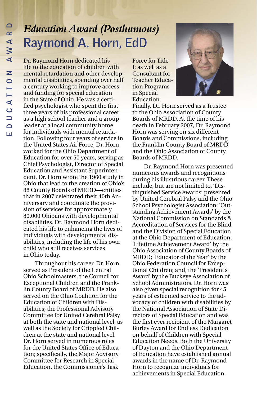#### *Education Award (Posthumous)* **Raymond A. Horn, EdD**

Dr. Raymond Horn dedicated his life to the education of children with mental retardation and other developmental disabilities, spending over half a century working to improve access and funding for special education in the State of Ohio. He was a certified psychologist who spent the first three years of his professional career as a high school teacher and a group leader at a local community home for individuals with mental retardation. Following four years of service in the United States Air Force, Dr. Horn worked for the Ohio Department of Education for over 50 years, serving as Chief Psychologist, Director of Special Education and Assistant Superintendent. Dr. Horn wrote the 1960 study in Ohio that lead to the creation of Ohio's 88 County Boards of MRDD—entities that in 2007 celebrated their 40th Anniversary and coordinate the provision of services for approximately 80,000 Ohioans with developmental disabilities. Dr. Raymond Horn dedicated his life to enhancing the lives of individuals with developmental disabilities, including the life of his own child who still receives services in Ohio today.

Throughout his career, Dr. Horn served as President of the Central Ohio Schoolmasters, the Council for Exceptional Children and the Franklin County Board of MRDD. He also served on the Ohio Coalition for the Education of Children with Disabilities; the Professional Advisory Committee for United Cerebral Palsy at both the state and national level, as well as the Society for Crippled Children at the state and national level. Dr. Horn served in numerous roles for the United States Office of Education; specifically, the Major Advisory Committee for Research in Special Education, the Commissioner's Task

Force for Title I; as well as a Consultant for Teacher Education Programs in Special Education.



Finally, Dr. Horn served as a Trustee to the Ohio Association of County Boards of MRDD. At the time of his death in February 2007, Dr. Raymond Horn was serving on six different Boards and Commissions, including the Franklin County Board of MRDD and the Ohio Association of County Boards of MRDD.

Dr. Raymond Horn was presented numerous awards and recognitions during his illustrious career. These include, but are not limited to, 'Distinguished Service Awards' presented by United Cerebral Palsy and the Ohio School Psychologist Association; 'Outstanding Achievement Awards' by the National Commission on Standards & Accreditation of Services for the Blind and the Division of Special Education at the Ohio Department of Education; 'Lifetime Achievement Award' by the Ohio Association of County Boards of MRDD; 'Educator of the Year' by the Ohio Federation Council for Exceptional Children; and, the 'President's Award' by the Buckeye Association of School Administrators. Dr. Horn was also given special recognition for 45 years of esteemed service to the advocacy of children with disabilities by the National Association of State Directors of Special Education and was the first ever recipient of the Margaret Burley Award for Endless Dedication on behalf of Children with Special Education Needs. Both the University of Dayton and the Ohio Department of Education have established annual awards in the name of Dr. Raymond Horn to recognize individuals for achievements in Special Education.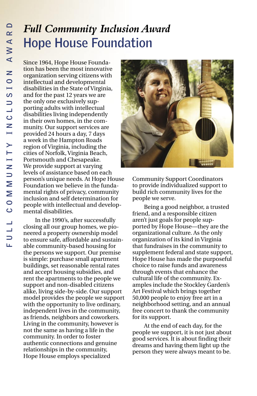#### *Full Community Inclusion Award* **Hope House Foundation**

Since 1964, Hope House Foundation has been the most innovative organization serving citizens with intellectual and developmental disabilities in the State of Virginia, and for the past 12 years we are the only one exclusively supporting adults with intellectual disabilities living independently in their own homes, in the community. Our support services are provided 24 hours a day, 7 days a week in the Hampton Roads region of Virginia, including the cities of Norfolk, Virginia Beach, Portsmouth and Chesapeake. We provide support at varying levels of assistance based on each person's unique needs. At Hope House Foundation we believe in the fundamental rights of privacy, community inclusion and self determination for people with intellectual and developmental disabilities.

In the 1990's, after successfully closing all our group homes, we pioneered a property ownership model to ensure safe, affordable and sustainable community-based housing for the persons we support. Our premise is simple: purchase small apartment buildings, set reasonable rental rates and accept housing subsidies, and rent the apartments to the people we support and non-disabled citizens alike, living side-by-side. Our support model provides the people we support with the opportunity to live ordinary, independent lives in the community, as friends, neighbors and coworkers. Living in the community, however is not the same as having a life in the community. In order to foster authentic connections and genuine relationships in the community, Hope House employs specialized



Community Support Coordinators to provide individualized support to build rich community lives for the people we serve.

Being a good neighbor, a trusted friend, and a responsible citizen aren't just goals for people supported by Hope House—they are the organizational culture. As the only organization of its kind in Virginia that fundraises in the community to supplement federal and state support, Hope House has made the purposeful choice to raise funds and awareness through events that enhance the cultural life of the community. Examples include the Stockley Garden's Art Festival which brings together 50,000 people to enjoy free art in a neighborhood setting, and an annual free concert to thank the community for its support.

At the end of each day, for the people we support, it is not just about good services. It is about finding their dreams and having them light up the person they were always meant to be.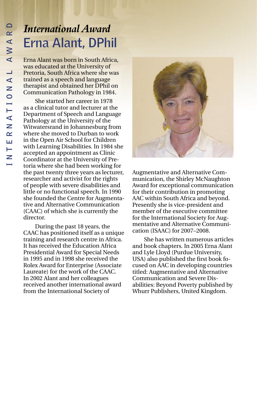#### *International Award* **Erna Alant, DPhil**

Erna Alant was born in South Africa, was educated at the University of Pretoria, South Africa where she was trained as a speech and language therapist and obtained her DPhil on Communication Pathology in 1984.

She started her career in 1978 as a clinical tutor and lecturer at the Department of Speech and Language Pathology at the University of the Witwatersrand in Johannesburg from where she moved to Durban to work in the Open Air School for Children with Learning Disabilities. In 1984 she accepted an appointment as Clinic Coordinator at the University of Pretoria where she had been working for the past twenty three years as lecturer, researcher and activist for the rights of people with severe disabilities and little or no functional speech. In 1990 she founded the Centre for Augmentative and Alternative Communication (CAAC) of which she is currently the director.

During the past 18 years, the CAAC has positioned itself as a unique training and research centre in Africa. It has received the Education Africa Presidential Award for Special Needs in 1995 and in 1998 she received the Rolex Award for Enterprise (Associate Laureate) for the work of the CAAC. In 2002 Alant and her colleagues received another international award from the International Society of



Augmentative and Alternative Communication, the Shirley McNaughton Award for exceptional communication for their contribution in promoting AAC within South Africa and beyond. Presently she is vice-president and member of the executive committee for the International Society for Augmentative and Alternative Communication (ISAAC) for 2007–2008.

She has written numerous articles and book chapters. In 2005 Erna Alant and Lyle Lloyd (Purdue University, USA) also published the first book focused on AAC in developing countries titled: Augmentative and Alternative Communication and Severe Disabilities: Beyond Poverty published by Whurr Publishers, United Kingdom.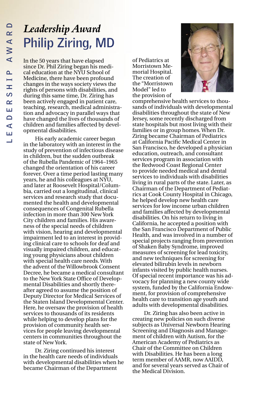#### *Leadership Award* **Philip Ziring, MD**

In the 50 years that have elapsed since Dr. Phil Ziring began his medi cal education at the NYU School of Medicine, there have been profound changes in the ways society views the rights of persons with disabilities, and during this same time, Dr. Ziring has been actively engaged in patient care, teaching, research, medical administra tion and advocacy in parallel ways that have changed the lives of thousands of children and families affected by devel opmental disabilities.

His early academic career began in the laboratory with an interest in the study of prevention of infectious disease in children, but the sudden outbreak of the Rubella Pandemic of 1964–1965 changed the orientation of his career forever. Over a time period lasting many years, he and his colleagues at NYU, and later at Roosevelt Hospital/Colum bia, carried out a longitudinal, clinical services and research study that docu mented the health and developmental consequences of Congenital Rubella infection in more than 300 New York City children and families. His aware ness of the special needs of children with vision, hearing and developmental impairment led to an interest in provid ing clinical care to schools for deaf and visually impaired children, and educat ing young physicians about children with special health care needs. With the advent of the Willowbrook Consent Decree, he became a medical consultant to the New York State Office of Develop mental Disabilities and shortly there after agreed to assume the position of Deputy Director for Medical Services of the Staten Island Developmental Center. Here, he oversaw the provision of health services to thousands of its residents while helping to develop plans for the provision of community health ser vices for people leaving developmental centers in communities throughout the state of New York.

Dr. Ziring continued his interest in the health care needs of individuals with developmental disabilities when he became Chairman of the Department

of Pediatrics at Morristown Me morial Hospital. The creation of the "Morristown Model" led to the provision of



comprehensive health services to thou sands of individuals with developmental disabilities throughout the state of New Jersey, some recently discharged from state hospitals but most living with their families or in group homes. When Dr. Ziring became Chairman of Pediatrics at California Pacific Medical Center in San Francisco, he developed a physician education, outreach, and consultant services program in association with the Redwood Coast Regional Center to provide needed medical and dental services to individuals with disabilities living in rural parts of the state. Later, as Chairman of the Department of Pediat rics at Cook County Hospital in Chicago, he helped develop new health care services for low income urban children and families affected by developmental disabilities. On his return to living in California, he accepted a position with the San Francisco Department of Public Health, and was involved in a number of special projects ranging from prevention of Shaken Baby Syndrome, improved measures of screening for lead toxicity, and new techniques for screening for elevated bilirubin levels in newborn infants visited by public health nurses. Of special recent importance was his ad vocacy for planning a new county wide system, funded by the California Endow ment, for provision of comprehensive health care to transition age youth and adults with developmental disabilities.

Dr. Ziring has also been active in creating new policies on such diverse subjects as Universal Newborn Hearing Screening and Diagnosis and Manage ment of children with Autism, for the American Academy of Pediatrics as Chair of the Committee on Children with Disabilities. He has been a long term member of AAMR, now AAIDD, and for several years served as Chair of the Medical Division.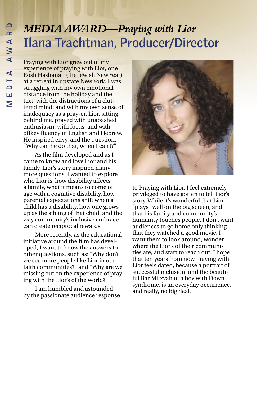#### *MEDIA AWARD—Praying with Lior* **Ilana Trachtman, Producer/Director**

Praying with Lior grew out of my experience of praying with Lior, one Rosh Hashanah (the Jewish New Year) at a retreat in upstate New York. I was struggling with my own emotional distance from the holiday and the text, with the distractions of a cluttered mind, and with my own sense of inadequacy as a pray-er. Lior, sitting behind me, prayed with unabashed enthusiasm, with focus, and with offkey fluency in English and Hebrew. He inspired envy, and the question, "Why can he do that, when I can't?"

As the film developed and as I came to know and love Lior and his family, Lior's story inspired many more questions. I wanted to explore who Lior is, how disability affects a family, what it means to come of age with a cognitive disability, how parental expectations shift when a child has a disability, how one grows up as the sibling of that child, and the way community's inclusive embrace can create reciprocal rewards.

More recently, as the educational initiative around the film has developed, I want to know the answers to other questions, such as: "Why don't we see more people like Lior in our faith communities?" and "Why are we missing out on the experience of praying with the Lior's of the world?"

I am humbled and astounded by the passionate audience response



to Praying with Lior. I feel extremely privileged to have gotten to tell Lior's story. While it's wonderful that Lior "plays" well on the big screen, and that his family and community's humanity touches people, I don't want audiences to go home only thinking that they watched a good movie. I want them to look around, wonder where the Lior's of their communities are, and start to reach out. I hope that ten years from now Praying with Lior feels dated, because a portrait of successful inclusion, and the beautiful Bar Mitzvah of a boy with Down syndrome, is an everyday occurrence, and really, no big deal.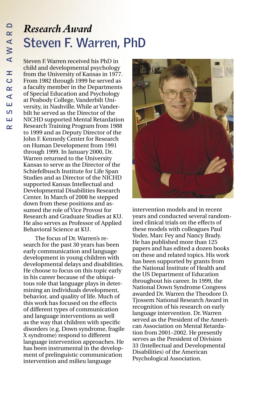#### *Research Award* **Steven F. Warren, PhD**

Steven F. Warren received his PhD in child and developmental psychology from the University of Kansas in 1977. From 1982 through 1999 he served as a faculty member in the Departments of Special Education and Psychology at Peabody College, Vanderbilt University, in Nashville. While at Vanderbilt he served as the Director of the NICHD supported Mental Retardation Research Training Program from 1988 to 1999 and as Deputy Director of the John F. Kennedy Center for Research on Human Development from 1991 through 1999. In January 2000, Dr. Warren returned to the University Kansas to serve as the Director of the Schiefelbusch Institute for Life Span Studies and as Director of the NICHD supported Kansas Intellectual and Developmental Disabilities Research Center. In March of 2008 he stepped down from these positions and assumed the role of Vice Provost for Research and Graduate Studies at KU. He also serves as Professor of Applied Behavioral Science at KU.

The focus of Dr. Warren's research for the past 30 years has been early communication and language development in young children with developmental delays and disabilities. He choose to focus on this topic early in his career because of the ubiquitous role that language plays in determining an individuals development, behavior, and quality of life. Much of this work has focused on the effects of different types of communication and language interventions as well as the way that children with specific disorders (e.g. Down syndrome, fragile X syndrome) respond to different language intervention approaches. He has been instrumental in the development of prelinguistic communication intervention and milieu language



intervention models and in recent years and conducted several randomized clinical trials on the effects of these models with colleagues Paul Yoder, Marc Fey and Nancy Brady. He has published more than 125 papers and has edited a dozen books on these and related topics. His work has been supported by grants from the National Institute of Health and the US Department of Education throughout his career. In 1999, the National Down Syndrome Congress awarded Dr. Warren the Theodore D. Tjossem National Research Award in recognition of his research on early language intervention. Dr. Warren served as the President of the American Association on Mental Retardation from 2001–2002. He presently serves as the President of Division 33 (Intellectual and Developmental Disabilities) of the American Psychological Association.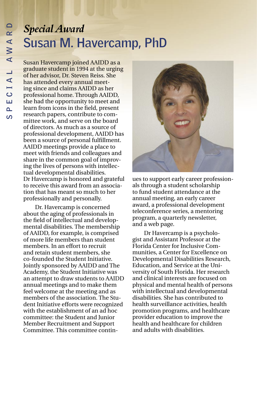#### *Special Award* **Susan M. Havercamp, PhD**

Susan Havercamp joined AAIDD as a graduate student in 1994 at the urging of her advisor, Dr. Steven Reiss. She has attended every annual meeting since and claims AAIDD as her professional home. Through AAIDD, she had the opportunity to meet and learn from icons in the field, present research papers, contribute to committee work, and serve on the board of directors. As much as a source of professional development, AAIDD has been a source of personal fulfillment. AAIDD meetings provide a place to meet with friends and colleagues and share in the common goal of improving the lives of persons with intellectual developmental disabilities. Dr Havercamp is honored and grateful to receive this award from an association that has meant so much to her professionally and personally.

Dr. Havercamp is concerned about the aging of professionals in the field of intellectual and developmental disabilities. The membership of AAIDD, for example, is comprised of more life members than student members. In an effort to recruit and retain student members, she co-founded the Student Initiative. Jointly sponsored by AAIDD and The Academy, the Student Initiative was an attempt to draw students to AAIDD annual meetings and to make them feel welcome at the meeting and as members of the association. The Student Initiative efforts were recognized with the establishment of an ad hoc committee: the Student and Junior Member Recruitment and Support Committee. This committee contin-



ues to support early career professionals through a student scholarship to fund student attendance at the annual meeting, an early career award, a professional development teleconference series, a mentoring program, a quarterly newsletter, and a web page.

Dr Havercamp is a psychologist and Assistant Professor at the Florida Center for Inclusive Communities, a Center for Excellence on Developmental Disabilities Research, Education, and Service at the University of South Florida. Her research and clinical interests are focused on physical and mental health of persons with intellectual and developmental disabilities. She has contributed to health surveillance activities, health promotion programs, and healthcare provider education to improve the health and healthcare for children and adults with disabilities.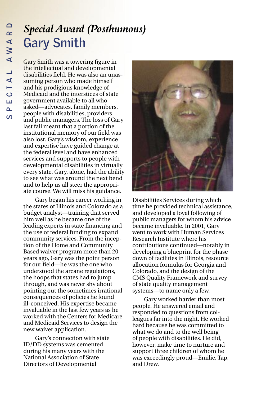#### *Special Award (Posthumous)* **Gary Smith**

Gary Smith was a towering figure in the intellectual and developmental disabilities field. He was also an unassuming person who made himself and his prodigious knowledge of Medicaid and the interstices of state government available to all who asked—advocates, family members, people with disabilities, providers and public managers. The loss of Gary last fall meant that a portion of the institutional memory of our field was also lost. Gary's wisdom, experience and expertise have guided change at the federal level and have enhanced services and supports to people with developmental disabilities in virtually every state. Gary, alone, had the ability to see what was around the next bend and to help us all steer the appropriate course. We will miss his guidance.

Gary began his career working in the states of Illinois and Colorado as a budget analyst—training that served him well as he became one of the leading experts in state financing and the use of federal funding to expand community services. From the inception of the Home and Community Based waiver program more than 20 years ago, Gary was the point person for our field—he was the one who understood the arcane regulations, the hoops that states had to jump through, and was never shy about pointing out the sometimes irrational consequences of policies he found ill-conceived. His expertise became invaluable in the last few years as he worked with the Centers for Medicare and Medicaid Services to design the new waiver application.

Gary's connection with state ID/DD systems was cemented during his many years with the National Association of State Directors of Developmental



Disabilities Services during which time he provided technical assistance, and developed a loyal following of public managers for whom his advice became invaluable. In 2001, Gary went to work with Human Services Research Institute where his contributions continued—notably in developing a blueprint for the phase down of facilities in Illinois, resource allocation formulas for Georgia and Colorado, and the design of the CMS Quality Framework and survey of state quality management systems—to name only a few.

Gary worked harder than most people. He answered email and responded to questions from colleagues far into the night. He worked hard because he was committed to what we do and to the well being of people with disabilities. He did, however, make time to nurture and support three children of whom he was exceedingly proud—Emilie, Tap, and Drew.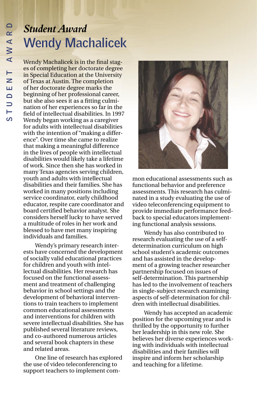#### *Student Award* **Wendy Machalicek**

Wendy Machalicek is in the final stages of completing her doctorate degree in Special Education at the University of Texas at Austin. The completion of her doctorate degree marks the beginning of her professional career, but she also sees it as a fitting culmination of her experiences so far in the field of intellectual disabilities. In 1997 Wendy began working as a caregiver for adults with intellectual disabilities with the intention of "making a difference". Over time she came to realize that making a meaningful difference in the lives of people with intellectual disabilities would likely take a lifetime of work. Since then she has worked in many Texas agencies serving children, youth and adults with intellectual disabilities and their families. She has worked in many positions including service coordinator, early childhood educator, respite care coordinator and board certified behavior analyst. She considers herself lucky to have served a multitude of roles in her work and blessed to have met many inspiring individuals and families.

Wendy's primary research interests have concerned the development of socially valid educational practices for children and youth with intellectual disabilities. Her research has focused on the functional assessment and treatment of challenging behavior in school settings and the development of behavioral interventions to train teachers to implement common educational assessments and interventions for children with severe intellectual disabilities. She has published several literature reviews, and co-authored numerous articles and several book chapters in these and related areas.

One line of research has explored the use of video teleconferencing to support teachers to implement com-



mon educational assessments such as functional behavior and preference assessments. This research has culminated in a study evaluating the use of video teleconferencing equipment to provide immediate performance feedback to special educators implementing functional analysis sessions.

Wendy has also contributed to research evaluating the use of a selfdetermination curriculum on high school student's academic outcomes and has assisted in the development of a growing teacher researcher partnership focused on issues of self-determination. This partnership has led to the involvement of teachers in single-subject research examining aspects of self-determination for children with intellectual disabilities.

Wendy has accepted an academic position for the upcoming year and is thrilled by the opportunity to further her leadership in this new role. She believes her diverse experiences working with individuals with intellectual disabilities and their families will inspire and inform her scholarship and teaching for a lifetime.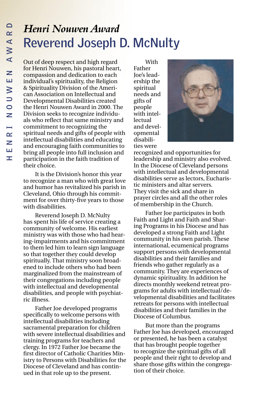#### *Henri Nouwen Award* **Reverend Joseph D. McNulty**

Out of deep respect and high regard for Henri Nouwen, his pastoral heart, compassion and dedication to each individual's spirituality, the Religion & Spirituality Division of the Ameri can Association on Intellectual and Developmental Disabilities created the Henri Nouwen Award in 2000. The Division seeks to recognize individu als who reflect that same ministry and commitment to recognizing the spiritual needs and gifts of people with intellectual disabilities and educating and encouraging faith communities to bring all people into full inclusion and participation in the faith tradition of their choice.

It is the Division's honor this year to recognize a man who with great love and humor has revitalized his parish in Cleveland, Ohio through his commit ment for over thirty-five years to those with disabilities.

Reverend Joseph D. McNulty has spent his life of service creating a community of welcome. His earliest ministry was with those who had hear ing-impairments and his commitment to them led him to learn sign language so that together they could develop spiritually. That ministry soon broad ened to include others who had been marginalized from the mainstream of their congregations including people with intellectual and developmental disabilities, and people with psychiat ric illness.

Father Joe developed programs specifically to welcome persons with intellectual disabilities including sacramental preparation for children with severe intellectual disabilities and training programs for teachers and clergy. In 1972 Father Joe became the first director of Catholic Charities Min istry to Persons with Disabilities for the Diocese of Cleveland and has contin ued in that role up to the present.

With Father Joe's lead ership the spiritual needs and gifts of people with intel lectual and devel opmental disabili ties were



recognized and opportunities for leadership and ministry also evolved. In the Diocese of Cleveland persons with intellectual and developmental disabilities serve as lectors, Eucharis tic ministers and altar servers. They visit the sick and share in prayer circles and all the other roles of membership in the Church.

Father Joe participates in both Faith and Light and Faith and Shar ing Programs in his Diocese and has developed a strong Faith and Light community in his own parish. These international, ecumenical programs support persons with developmental disabilities and their families and friends who gather regularly as a community. They are experiences of dynamic spirituality. In addition he directs monthly weekend retreat pro grams for adults with intellectual/de velopmental disabilities and facilitates retreats for persons with intellectual disabilities and their families in the Diocese of Columbus.

But more than the programs Father Joe has developed, encouraged or presented, he has been a catalyst that has brought people together to recognize the spiritual gifts of all people and their right to develop and share those gifts within the congrega tion of their choice.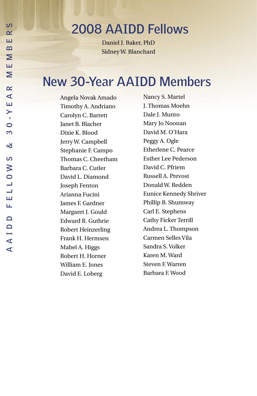#### **2008 AAIDD Fellows**

Daniel J. Baker, PhD Sidney W. Blanchard

#### **New 30-Year AAIDD Members**

Angela Novak Amado Timothy A. Andriano Carolyn C. Barrett Janet B. Blacher Dixie K. Blood Jerry W. Campbell Stephanie F. Campo Thomas C. Cheetham Barbara C. Cutler David L. Diamond Joseph Fenton Arianna Fucini James F. Gardner Margaret J. Gould Edward R. Guthrie Robert Heinzerling Frank H. Hermsen Mabel A. Higgs Robert H. Horner William E. Jones David E. Loberg

Nancy S. Martel J. Thomas Moehn Dale J. Munro Mary Jo Noonan David M. O'Hara Peggy A. Ogle Etherlene C. Pearce Esther Lee Pederson David C. Pfriem Russell A. Prevost Donald W. Redden Eunice Kennedy Shriver Phillip B. Shumway Carl E. Stephens Cathy Ficker Terrill Andrea L. Thompson Carmen Selles Vila Sandra S. Volker Karen M. Ward Steven F. Warren Barbara F. Wood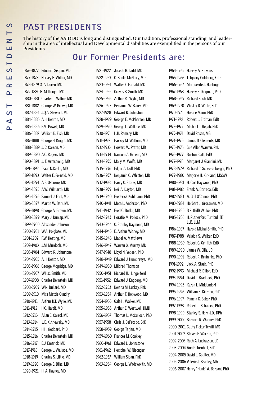#### **PAST PRESIDENTS**

The history of the AAIDDD is long and distinguished. Our tradition, professional standing, and leadership in the area of intellectual and Developmental disabilities are exemplified in the persons of our Presidents.

#### **Our Former Presidents are:**

1876–1877 Edouard Sequin, MD 1877–1878 Hervey B. Wilbur, MD 1878–1879 G. A. Doren, MD 1879–1880 H. M. Knight, MD 1880–1881 Charles T. Wilbur, MD 1881–1882 George W. Brown, MD 1882–1884 J.Q.A. Stewart, MD 1884–1885 A.H. Beaton, MD 1885–1886 F.M. Powell, MD 1886–1887 William B. Fish, MD 1887–1888 George H. Knight, MD 1888–1889 J. C. Carson, MD 1889–1890 A.C. Rogers, MD 1890–1891 J. T. Armstrong, MD 1891–1892 Isaac N.Kerlin, MD 1892–1893 Walter E. Fernald, MD 1893–1894 A.E. Osborne, MD 1894–1895 A.W. Wilmarth, MD 1895–1896 Samuel J. Fort, MD 1896–1897 Martin W. Barr, MD 1897–1898 George A. Brown, MD 1898–1899 Mary J. Dunlap, MD 1899–1900 Alexander Johnson 1900–1901 W.A. Polglase, MD 1901–1902 F.W. Keating, MD 1902–1903 J.M. Murdoch, MD 1903–1904 Edward R. Johnstone 1904–1905 A.H. Beaton, MD 1905–1906 George Mogridge, MD 1906–1907 W.H.C. Smith, MD 1907–1908 Charles Bernstein, MD 1908–1909 W.N. Bullard, MD 1909–1910 Miss Mattie Gundry 1910–1911 Arthur R.T. Wylie, MD 1911–1912 H.G. Hardt, MD 1912–1913 Allan E. Carrol, MD 1913–1914 J.K. Kutnewsky, MD 1914–1915 H.H. Goddard, PhD 1915–1916 Charles Bernstein, MD 1916–1917 E.J. Emerick, MD 1917–1918 George L. Wallace, MD 1918–1919 Charles S. Little, MD 1919–1920 George S. Bliss, MD 1920–1921 H. A. Haynes, MD

| 1921-1922 | Joseph H. Ladd, MD       |
|-----------|--------------------------|
| 1922-1923 | C. Banks McNairy, MD     |
| 1923-1924 | Walter E. Fernald, MD    |
| 1924-1925 | Groves B. Smith, MD      |
| 1925-1926 | Arthur R.T.Wylie, MD     |
| 1926-1927 | Benjamin W. Baker, MD    |
| 1927-1928 | Edward R. Johnstone      |
| 1928-1929 | George E. McPherson, MD  |
| 1929-1930 | George L. Wallace, MD    |
| 1930-1931 | H.H. Ramsey, MD          |
| 1931-1932 | Harvey M. Watkins, MD    |
| 1932-1933 | Howard W. Potter, MD     |
| 1933-1934 | Ransom A. Greene, MD     |
| 1934-1935 | Mary M. Wolfe, MD        |
| 1935-1936 | Edgar A. Doll, PhD       |
| 1936-1937 | Benjamin O. Whitten, MD  |
| 1937-1938 | Harry C. Storrs, MD      |
| 1938-1939 | Neil A. Dayton, MD       |
| 1939-1940 | Frederick Kuhlmann. PhD  |
| 1940-1941 | Meta L. Anderson, PhD    |
| 1941-1942 | Fred O. Butler, MD       |
| 1942-1943 | Horatio M. Pollock, PhD  |
| 1943-1944 | C. Stanley Raymond, MD   |
| 1944-1945 | E. Arthur Witney, MD     |
| 1945-1946 | Mabel A. Matthews        |
| 1946-1947 | Warren G. Murray, MD     |
| 1947-1948 | Lloyd N. Yepsen, PhD     |
| 1948-1949 | Edward J. Humphreys, MD  |
| 1949-1950 | <b>Mildred Thomson</b>   |
| 1950-1951 | Richard H. Hungerford    |
| 1951-1952 | Edward J. Engberg, MD    |
| 1952-1953 | Bertha M. Luckey, PhD    |
| 1953-1954 | Arthur T. Hopwood, MD    |
| 1954-1955 | Gale H. Walker, MD       |
| 1955-1956 | Arthur E. Westwell, DMD  |
| 1956-1957 | Thomas L. McCulloch, PhD |
| 1957-1958 | Chris J. DeProspo, EdD   |
| 1958-1959 | George Tarjan, MD        |
| 1959-1960 | Frances M. Coakley       |
| 1960-1961 | Edward L. Johnstone      |
| 1961-1962 | Herschel W. Nisonger     |
| 1962-1963 | William Sloan, PhD       |
| 1963-1964 | George L. Wadsworth, MD  |

1964–1965 Harvey A. Stevens 1965–1966 I. Ignacy Goldberg, EdD 1966–1967 Marguerite J. Hastings 1967–1968 Harvey F. Dingman, PhD 1968–1969 Richard Koch, MD 1969–1970 Wesley D. White, EdD 1970–1971 Horace Mann, PhD 1971–1972 Robert L. Erdman, EdD 1972–1973 Michael J. Begab, PhD 1973–1974 David Rosen, MS 1974–1975 James D. Clements, MD 1975–1976 Sue Allen Warren, PhD 1976–1977 Burton Blatt, EdD 1977–1978 Margaret J. Giannini, MD 1978–1979 Richard C. Scheerenberger, PhD 1979–1980 Marjorie H. Kirkland, MSSW 1980–1981 H. Carl Haywood, PhD 1981–1982 Frank A. Borreca, EdD 1982–1983 A. Gail O'Connor, PhD 1983–1984 Herbert J. Grossman, MD 1984–1985 B.R. (Bill) Walker, PhD 1985–1986 H. Rutherford Turnbull III, LLB, LLM 1986–1987 Harold Michal-Smith, PhD 1987–1988 Valaida S. Walker, EdD 1988–1989 Robert G. Griffith, EdD 1989–1990 James W. Ellis, JD 1990–1991 Robert R. Bruininks, PhD 1991–1992 Jack A. Stark, PhD 1992–1993 Michael R. Dillon, EdD 1993–1994 David L. Braddock, PhD 1994–1995 Karen L. Middendorf 1995–1996 William E. Kiernan, PhD 1996–1997 Pamela C. Baker, PhD 1997–1998 Robert L. Schalock, PhD 1998–1999 Stanley S. Herr, J.D., DPhil 1999–2000 Bernard R. Wagner, PhD 2000–2001 Cathy Ficker Terrill, MS 2001–2002 Steven F. Warren, PhD 2002–2003 Ruth A. Luckasson, JD 2003–2004 Ann P. Turnbull, EdD 2004–2005 David L. Coulter, MD 2005–2006 Valerie J. Bradley, MA 2006–2007 Henry "Hank" A. Bersani, PhD